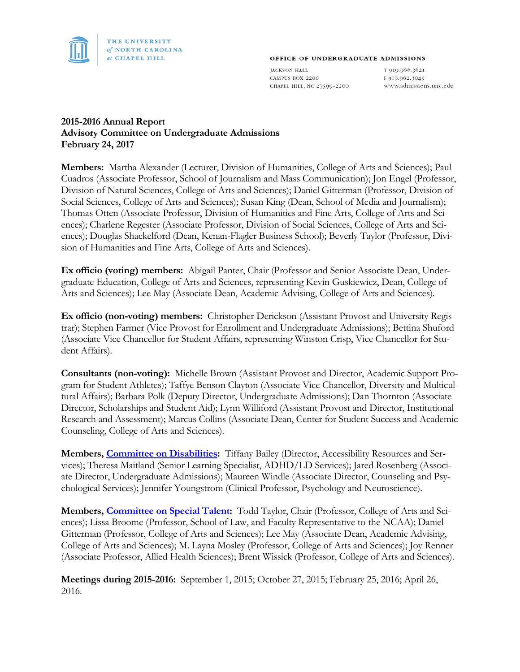

#### OFFICE OF UNDERGRADUATE ADMISSIONS

**JACKSON HALL** CAMPUS BOX 2200 CHAPEL HILL, NC 27599-2200

T 919.966.3621 F 919.962.3045 www.admissions.unc.edu

# **2015-2016 Annual Report Advisory Committee on Undergraduate Admissions February 24, 2017**

**Members:** Martha Alexander (Lecturer, Division of Humanities, College of Arts and Sciences); Paul Cuadros (Associate Professor, School of Journalism and Mass Communication); Jon Engel (Professor, Division of Natural Sciences, College of Arts and Sciences); Daniel Gitterman (Professor, Division of Social Sciences, College of Arts and Sciences); Susan King (Dean, School of Media and Journalism); Thomas Otten (Associate Professor, Division of Humanities and Fine Arts, College of Arts and Sciences); Charlene Regester (Associate Professor, Division of Social Sciences, College of Arts and Sciences); Douglas Shackelford (Dean, Kenan-Flagler Business School); Beverly Taylor (Professor, Division of Humanities and Fine Arts, College of Arts and Sciences).

**Ex officio (voting) members:** Abigail Panter, Chair (Professor and Senior Associate Dean, Undergraduate Education, College of Arts and Sciences, representing Kevin Guskiewicz, Dean, College of Arts and Sciences); Lee May (Associate Dean, Academic Advising, College of Arts and Sciences).

**Ex officio (non-voting) members:** Christopher Derickson (Assistant Provost and University Registrar); Stephen Farmer (Vice Provost for Enrollment and Undergraduate Admissions); Bettina Shuford (Associate Vice Chancellor for Student Affairs, representing Winston Crisp, Vice Chancellor for Student Affairs).

**Consultants (non-voting):** Michelle Brown (Assistant Provost and Director, Academic Support Program for Student Athletes); Taffye Benson Clayton (Associate Vice Chancellor, Diversity and Multicultural Affairs); Barbara Polk (Deputy Director, Undergraduate Admissions); Dan Thornton (Associate Director, Scholarships and Student Aid); Lynn Williford (Assistant Provost and Director, Institutional Research and Assessment); Marcus Collins (Associate Dean, Center for Student Success and Academic Counseling, College of Arts and Sciences).

**Members, [Committee on Disabilities:](http://faccoun.unc.edu/committees-2/appointed-committees/undergraduate-admissions-committee/committee-on-disabilities/)** Tiffany Bailey (Director, Accessibility Resources and Services); Theresa Maitland (Senior Learning Specialist, ADHD/LD Services); Jared Rosenberg (Associate Director, Undergraduate Admissions); Maureen Windle (Associate Director, Counseling and Psychological Services); Jennifer Youngstrom (Clinical Professor, Psychology and Neuroscience).

**Members, [Committee on Special Talent:](http://faccoun.unc.edu/committees-2/appointed-committees/undergraduate-admissions-committee/committee-on-special-talent/)** Todd Taylor, Chair (Professor, College of Arts and Sciences); Lissa Broome (Professor, School of Law, and Faculty Representative to the NCAA); Daniel Gitterman (Professor, College of Arts and Sciences); Lee May (Associate Dean, Academic Advising, College of Arts and Sciences); M. Layna Mosley (Professor, College of Arts and Sciences); Joy Renner (Associate Professor, Allied Health Sciences); Brent Wissick (Professor, College of Arts and Sciences).

**Meetings during 2015-2016:** September 1, 2015; October 27, 2015; February 25, 2016; April 26, 2016.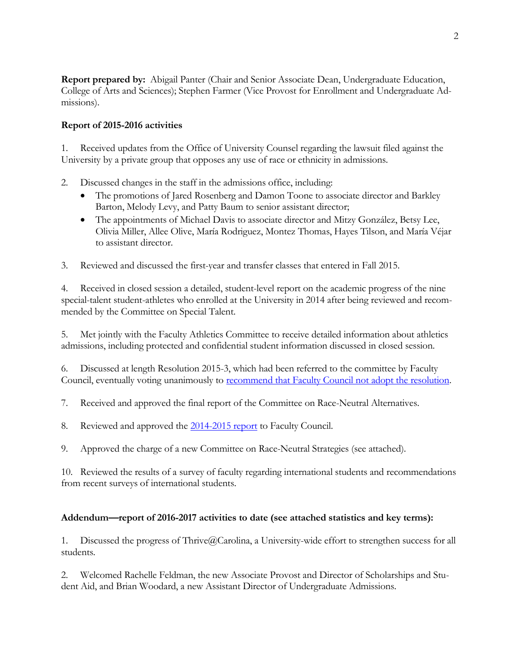**Report prepared by:** Abigail Panter (Chair and Senior Associate Dean, Undergraduate Education, College of Arts and Sciences); Stephen Farmer (Vice Provost for Enrollment and Undergraduate Admissions).

# **Report of 2015-2016 activities**

1. Received updates from the Office of University Counsel regarding the lawsuit filed against the University by a private group that opposes any use of race or ethnicity in admissions.

- 2. Discussed changes in the staff in the admissions office, including:
	- The promotions of Jared Rosenberg and Damon Toone to associate director and Barkley Barton, Melody Levy, and Patty Baum to senior assistant director;
	- The appointments of Michael Davis to associate director and Mitzy González, Betsy Lee, Olivia Miller, Allee Olive, María Rodriguez, Montez Thomas, Hayes Tilson, and María Véjar to assistant director.
- 3. Reviewed and discussed the first-year and transfer classes that entered in Fall 2015.

4. Received in closed session a detailed, student-level report on the academic progress of the nine special-talent student-athletes who enrolled at the University in 2014 after being reviewed and recommended by the Committee on Special Talent.

5. Met jointly with the Faculty Athletics Committee to receive detailed information about athletics admissions, including protected and confidential student information discussed in closed session.

6. Discussed at length Resolution 2015-3, which had been referred to the committee by Faculty Council, eventually voting unanimously to [recommend that Faculty Council not adopt the resolution.](http://faccoun.unc.edu/faculty-council/meeting-materials-2015-16/november-13-2015/)

7. Received and approved the final report of the Committee on Race-Neutral Alternatives.

8. Reviewed and approved the [2014-2015 report](http://facultygov.sites.unc.edu/files/2010/10/UAD2014-15.pdf) to Faculty Council.

9. Approved the charge of a new Committee on Race-Neutral Strategies (see attached).

10. Reviewed the results of a survey of faculty regarding international students and recommendations from recent surveys of international students.

# **Addendum—report of 2016-2017 activities to date (see attached statistics and key terms):**

1. Discussed the progress of Thrive@Carolina, a University-wide effort to strengthen success for all students.

2. Welcomed Rachelle Feldman, the new Associate Provost and Director of Scholarships and Student Aid, and Brian Woodard, a new Assistant Director of Undergraduate Admissions.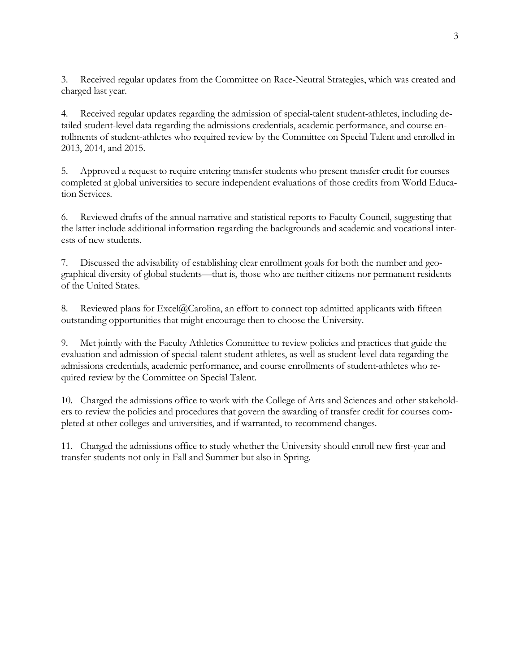3. Received regular updates from the Committee on Race-Neutral Strategies, which was created and charged last year.

4. Received regular updates regarding the admission of special-talent student-athletes, including detailed student-level data regarding the admissions credentials, academic performance, and course enrollments of student-athletes who required review by the Committee on Special Talent and enrolled in 2013, 2014, and 2015.

5. Approved a request to require entering transfer students who present transfer credit for courses completed at global universities to secure independent evaluations of those credits from World Education Services.

6. Reviewed drafts of the annual narrative and statistical reports to Faculty Council, suggesting that the latter include additional information regarding the backgrounds and academic and vocational interests of new students.

7. Discussed the advisability of establishing clear enrollment goals for both the number and geographical diversity of global students—that is, those who are neither citizens nor permanent residents of the United States.

8. Reviewed plans for Excel@Carolina, an effort to connect top admitted applicants with fifteen outstanding opportunities that might encourage then to choose the University.

9. Met jointly with the Faculty Athletics Committee to review policies and practices that guide the evaluation and admission of special-talent student-athletes, as well as student-level data regarding the admissions credentials, academic performance, and course enrollments of student-athletes who required review by the Committee on Special Talent.

10. Charged the admissions office to work with the College of Arts and Sciences and other stakeholders to review the policies and procedures that govern the awarding of transfer credit for courses completed at other colleges and universities, and if warranted, to recommend changes.

11. Charged the admissions office to study whether the University should enroll new first-year and transfer students not only in Fall and Summer but also in Spring.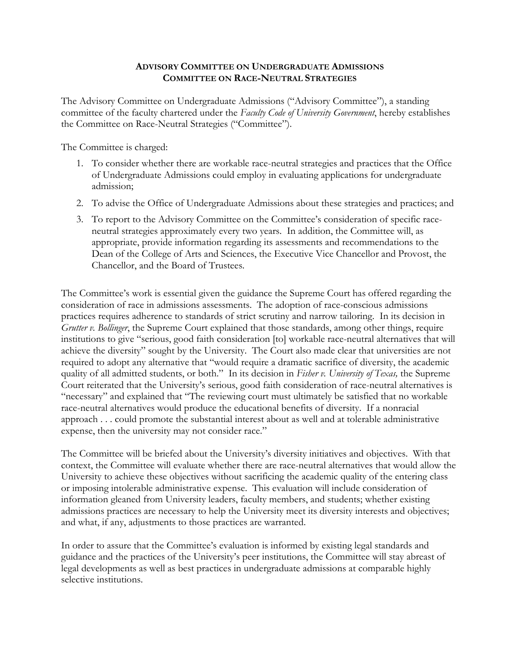# **ADVISORY COMMITTEE ON UNDERGRADUATE ADMISSIONS COMMITTEE ON RACE-NEUTRAL STRATEGIES**

The Advisory Committee on Undergraduate Admissions ("Advisory Committee"), a standing committee of the faculty chartered under the *Faculty Code of University Government*, hereby establishes the Committee on Race-Neutral Strategies ("Committee").

The Committee is charged:

- 1. To consider whether there are workable race-neutral strategies and practices that the Office of Undergraduate Admissions could employ in evaluating applications for undergraduate admission;
- 2. To advise the Office of Undergraduate Admissions about these strategies and practices; and
- 3. To report to the Advisory Committee on the Committee's consideration of specific raceneutral strategies approximately every two years. In addition, the Committee will, as appropriate, provide information regarding its assessments and recommendations to the Dean of the College of Arts and Sciences, the Executive Vice Chancellor and Provost, the Chancellor, and the Board of Trustees.

The Committee's work is essential given the guidance the Supreme Court has offered regarding the consideration of race in admissions assessments. The adoption of race-conscious admissions practices requires adherence to standards of strict scrutiny and narrow tailoring. In its decision in *Grutter v. Bollinger*, the Supreme Court explained that those standards, among other things, require institutions to give "serious, good faith consideration [to] workable race-neutral alternatives that will achieve the diversity" sought by the University. The Court also made clear that universities are not required to adopt any alternative that "would require a dramatic sacrifice of diversity, the academic quality of all admitted students, or both." In its decision in *Fisher v. University of Texas,* the Supreme Court reiterated that the University's serious, good faith consideration of race-neutral alternatives is "necessary" and explained that "The reviewing court must ultimately be satisfied that no workable race-neutral alternatives would produce the educational benefits of diversity. If a nonracial approach . . . could promote the substantial interest about as well and at tolerable administrative expense, then the university may not consider race."

The Committee will be briefed about the University's diversity initiatives and objectives. With that context, the Committee will evaluate whether there are race-neutral alternatives that would allow the University to achieve these objectives without sacrificing the academic quality of the entering class or imposing intolerable administrative expense. This evaluation will include consideration of information gleaned from University leaders, faculty members, and students; whether existing admissions practices are necessary to help the University meet its diversity interests and objectives; and what, if any, adjustments to those practices are warranted.

In order to assure that the Committee's evaluation is informed by existing legal standards and guidance and the practices of the University's peer institutions, the Committee will stay abreast of legal developments as well as best practices in undergraduate admissions at comparable highly selective institutions.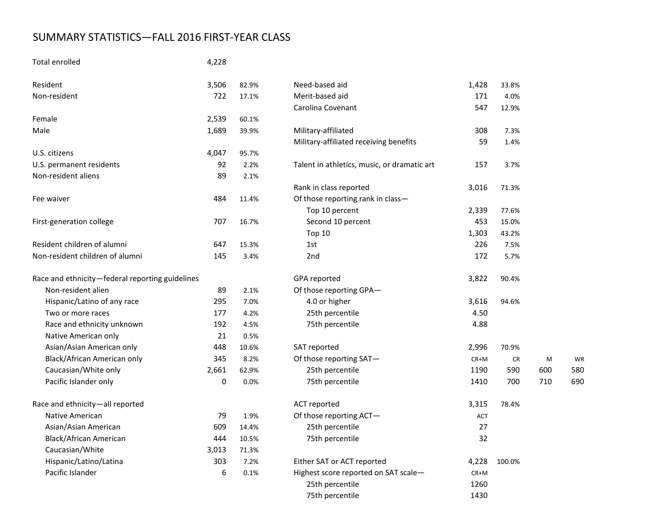# SUMMARY STATISTICS—FALL 2016 FIRST-YEAR CLASS

# Total enrolled 4,228

| Resident                                        | 3,506            | 82.9% | Need-based aid                              | 1,428      | 33.8%     |     |     |
|-------------------------------------------------|------------------|-------|---------------------------------------------|------------|-----------|-----|-----|
| Non-resident                                    | 722              | 17.1% | Merit-based aid                             | 171        | 4.0%      |     |     |
|                                                 |                  |       | Carolina Covenant                           | 547        | 12.9%     |     |     |
| Female                                          | 2,539            | 60.1% |                                             |            |           |     |     |
| Male                                            | 1,689            | 39.9% | Military-affiliated                         | 308        | 7.3%      |     |     |
|                                                 |                  |       | Military-affiliated receiving benefits      | 59         | 1.4%      |     |     |
| U.S. citizens                                   | 4,047            | 95.7% |                                             |            |           |     |     |
| U.S. permanent residents                        | 92               | 2.2%  | Talent in athletics, music, or dramatic art | 157        | 3.7%      |     |     |
| Non-resident aliens                             | 89               | 2.1%  |                                             |            |           |     |     |
|                                                 |                  |       | Rank in class reported                      | 3,016      | 71.3%     |     |     |
| Fee waiver                                      | 484              | 11.4% | Of those reporting rank in class-           |            |           |     |     |
|                                                 |                  |       | Top 10 percent                              | 2,339      | 77.6%     |     |     |
| First-generation college                        | 707              | 16.7% | Second 10 percent                           | 453        | 15.0%     |     |     |
|                                                 |                  |       | Top 10                                      | 1,303      | 43.2%     |     |     |
| Resident children of alumni                     | 647              | 15.3% | 1st                                         | 226        | 7.5%      |     |     |
| Non-resident children of alumni                 | 145              | 3.4%  | 2nd                                         | 172        | 5.7%      |     |     |
| Race and ethnicity-federal reporting guidelines |                  |       | GPA reported                                | 3,822      | 90.4%     |     |     |
| Non-resident alien                              | 89               | 2.1%  | Of those reporting GPA-                     |            |           |     |     |
| Hispanic/Latino of any race                     | 295              | 7.0%  | 4.0 or higher                               | 3,616      | 94.6%     |     |     |
| Two or more races                               | 177              | 4.2%  | 25th percentile                             | 4.50       |           |     |     |
| Race and ethnicity unknown                      | 192              | 4.5%  | 75th percentile                             | 4.88       |           |     |     |
| Native American only                            | 21               | 0.5%  |                                             |            |           |     |     |
| Asian/Asian American only                       | 448              | 10.6% | SAT reported                                | 2,996      | 70.9%     |     |     |
| Black/African American only                     | 345              | 8.2%  | Of those reporting SAT-                     | CR+M       | <b>CR</b> | M   | WF  |
| Caucasian/White only                            | 2,661            | 62.9% | 25th percentile                             | 1190       | 590       | 600 | 580 |
| Pacific Islander only                           | 0                | 0.0%  | 75th percentile                             | 1410       | 700       | 710 | 690 |
| Race and ethnicity-all reported                 |                  |       | ACT reported                                | 3,315      | 78.4%     |     |     |
| Native American                                 | 79               | 1.9%  | Of those reporting ACT-                     | <b>ACT</b> |           |     |     |
| Asian/Asian American                            | 609              | 14.4% | 25th percentile                             | 27         |           |     |     |
| Black/African American                          | 444              | 10.5% | 75th percentile                             | 32         |           |     |     |
| Caucasian/White                                 | 3,013            | 71.3% |                                             |            |           |     |     |
| Hispanic/Latino/Latina                          | 303              | 7.2%  | Either SAT or ACT reported                  | 4,228      | 100.0%    |     |     |
| Pacific Islander                                | $\boldsymbol{6}$ | 0.1%  | Highest score reported on SAT scale-        | $CR+M$     |           |     |     |
|                                                 |                  |       | 25th percentile                             | 1260       |           |     |     |

| iveed-based ald                             | 1,428  | 33.8%  |     |                |
|---------------------------------------------|--------|--------|-----|----------------|
| Merit-based aid                             | 171    | 4.0%   |     |                |
| Carolina Covenant                           | 547    | 12.9%  |     |                |
| Military-affiliated                         | 308    | 7.3%   |     |                |
| Military-affiliated receiving benefits      | 59     | 1.4%   |     |                |
| Talent in athletics, music, or dramatic art | 157    | 3.7%   |     |                |
| Rank in class reported                      | 3,016  | 71.3%  |     |                |
| Of those reporting rank in class-           |        |        |     |                |
| Top 10 percent                              | 2,339  | 77.6%  |     |                |
| Second 10 percent                           | 453    | 15.0%  |     |                |
| <b>Top 10</b>                               | 1,303  | 43.2%  |     |                |
| 1st                                         | 226    | 7.5%   |     |                |
| 2nd                                         | 172    | 5.7%   |     |                |
| GPA reported                                | 3,822  | 90.4%  |     |                |
| Of those reporting GPA-                     |        |        |     |                |
| 4.0 or higher                               | 3,616  | 94.6%  |     |                |
| 25th percentile                             | 4.50   |        |     |                |
| 75th percentile                             | 4.88   |        |     |                |
| SAT reported                                | 2,996  | 70.9%  |     |                |
| Of those reporting SAT-                     | $CR+M$ | CR     | M   |                |
| 25th percentile                             | 1190   | 590    | 600 | 5              |
| 75th percentile                             | 1410   | 700    | 710 | 6 <sup>1</sup> |
| <b>ACT reported</b>                         | 3,315  | 78.4%  |     |                |
| Of those reporting ACT-                     | ACT    |        |     |                |
| 25th percentile                             | 27     |        |     |                |
| 75th percentile                             | 32     |        |     |                |
| Either SAT or ACT reported                  | 4,228  | 100.0% |     |                |
| Highest score reported on SAT scale-        | CR+M   |        |     |                |
| 25th percentile                             | 1260   |        |     |                |
| 75th percentile                             | 1430   |        |     |                |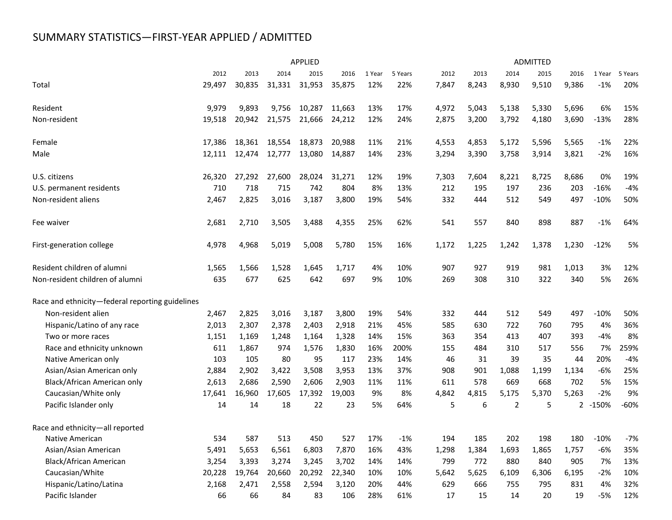# SUMMARY STATISTICS—FIRST-YEAR APPLIED / ADMITTED

|                                                 |        |        |        | <b>APPLIED</b> |        |        |         |       |       |                | <b>ADMITTED</b> |       |         |         |
|-------------------------------------------------|--------|--------|--------|----------------|--------|--------|---------|-------|-------|----------------|-----------------|-------|---------|---------|
|                                                 | 2012   | 2013   | 2014   | 2015           | 2016   | 1 Year | 5 Years | 2012  | 2013  | 2014           | 2015            | 2016  | 1 Year  | 5 Years |
| Total                                           | 29,497 | 30,835 | 31,331 | 31,953         | 35,875 | 12%    | 22%     | 7,847 | 8,243 | 8,930          | 9,510           | 9,386 | $-1%$   | 20%     |
| Resident                                        | 9,979  | 9,893  | 9,756  | 10,287         | 11,663 | 13%    | 17%     | 4,972 | 5,043 | 5,138          | 5,330           | 5,696 | 6%      | 15%     |
| Non-resident                                    | 19,518 | 20,942 | 21,575 | 21,666         | 24,212 | 12%    | 24%     | 2,875 | 3,200 | 3,792          | 4,180           | 3,690 | $-13%$  | 28%     |
| Female                                          | 17,386 | 18,361 | 18,554 | 18,873         | 20,988 | 11%    | 21%     | 4,553 | 4,853 | 5,172          | 5,596           | 5,565 | $-1%$   | 22%     |
| Male                                            | 12,111 | 12,474 | 12,777 | 13,080         | 14,887 | 14%    | 23%     | 3,294 | 3,390 | 3,758          | 3,914           | 3,821 | $-2%$   | 16%     |
| U.S. citizens                                   | 26,320 | 27,292 | 27,600 | 28,024         | 31,271 | 12%    | 19%     | 7,303 | 7,604 | 8,221          | 8,725           | 8,686 | 0%      | 19%     |
| U.S. permanent residents                        | 710    | 718    | 715    | 742            | 804    | 8%     | 13%     | 212   | 195   | 197            | 236             | 203   | $-16%$  | $-4%$   |
| Non-resident aliens                             | 2,467  | 2,825  | 3,016  | 3,187          | 3,800  | 19%    | 54%     | 332   | 444   | 512            | 549             | 497   | $-10%$  | 50%     |
| Fee waiver                                      | 2,681  | 2,710  | 3,505  | 3,488          | 4,355  | 25%    | 62%     | 541   | 557   | 840            | 898             | 887   | $-1%$   | 64%     |
| First-generation college                        | 4,978  | 4,968  | 5,019  | 5,008          | 5,780  | 15%    | 16%     | 1,172 | 1,225 | 1,242          | 1,378           | 1,230 | $-12%$  | 5%      |
| Resident children of alumni                     | 1,565  | 1,566  | 1,528  | 1,645          | 1,717  | 4%     | 10%     | 907   | 927   | 919            | 981             | 1,013 | 3%      | 12%     |
| Non-resident children of alumni                 | 635    | 677    | 625    | 642            | 697    | 9%     | 10%     | 269   | 308   | 310            | 322             | 340   | 5%      | 26%     |
| Race and ethnicity-federal reporting guidelines |        |        |        |                |        |        |         |       |       |                |                 |       |         |         |
| Non-resident alien                              | 2,467  | 2,825  | 3,016  | 3,187          | 3,800  | 19%    | 54%     | 332   | 444   | 512            | 549             | 497   | $-10%$  | 50%     |
| Hispanic/Latino of any race                     | 2,013  | 2,307  | 2,378  | 2,403          | 2,918  | 21%    | 45%     | 585   | 630   | 722            | 760             | 795   | 4%      | 36%     |
| Two or more races                               | 1,151  | 1,169  | 1,248  | 1,164          | 1,328  | 14%    | 15%     | 363   | 354   | 413            | 407             | 393   | $-4%$   | 8%      |
| Race and ethnicity unknown                      | 611    | 1,867  | 974    | 1,576          | 1,830  | 16%    | 200%    | 155   | 484   | 310            | 517             | 556   | 7%      | 259%    |
| Native American only                            | 103    | 105    | 80     | 95             | 117    | 23%    | 14%     | 46    | 31    | 39             | 35              | 44    | 20%     | $-4%$   |
| Asian/Asian American only                       | 2,884  | 2,902  | 3,422  | 3,508          | 3,953  | 13%    | 37%     | 908   | 901   | 1,088          | 1,199           | 1,134 | $-6%$   | 25%     |
| Black/African American only                     | 2,613  | 2,686  | 2,590  | 2,606          | 2,903  | 11%    | 11%     | 611   | 578   | 669            | 668             | 702   | 5%      | 15%     |
| Caucasian/White only                            | 17,641 | 16,960 | 17,605 | 17,392         | 19,003 | 9%     | 8%      | 4,842 | 4,815 | 5,175          | 5,370           | 5,263 | $-2%$   | 9%      |
| Pacific Islander only                           | 14     | 14     | 18     | 22             | 23     | 5%     | 64%     | 5     | 6     | $\overline{2}$ | 5               |       | 2 -150% | $-60%$  |
| Race and ethnicity-all reported                 |        |        |        |                |        |        |         |       |       |                |                 |       |         |         |
| Native American                                 | 534    | 587    | 513    | 450            | 527    | 17%    | $-1%$   | 194   | 185   | 202            | 198             | 180   | $-10%$  | $-7%$   |
| Asian/Asian American                            | 5,491  | 5,653  | 6,561  | 6,803          | 7,870  | 16%    | 43%     | 1,298 | 1,384 | 1,693          | 1,865           | 1,757 | $-6%$   | 35%     |
| Black/African American                          | 3,254  | 3,393  | 3,274  | 3,245          | 3,702  | 14%    | 14%     | 799   | 772   | 880            | 840             | 905   | 7%      | 13%     |
| Caucasian/White                                 | 20,228 | 19,764 | 20,660 | 20,292         | 22,340 | 10%    | 10%     | 5,642 | 5,625 | 6,109          | 6,306           | 6,195 | -2%     | 10%     |
| Hispanic/Latino/Latina                          | 2,168  | 2,471  | 2,558  | 2,594          | 3,120  | 20%    | 44%     | 629   | 666   | 755            | 795             | 831   | 4%      | 32%     |
| Pacific Islander                                | 66     | 66     | 84     | 83             | 106    | 28%    | 61%     | 17    | 15    | 14             | 20              | 19    | $-5%$   | 12%     |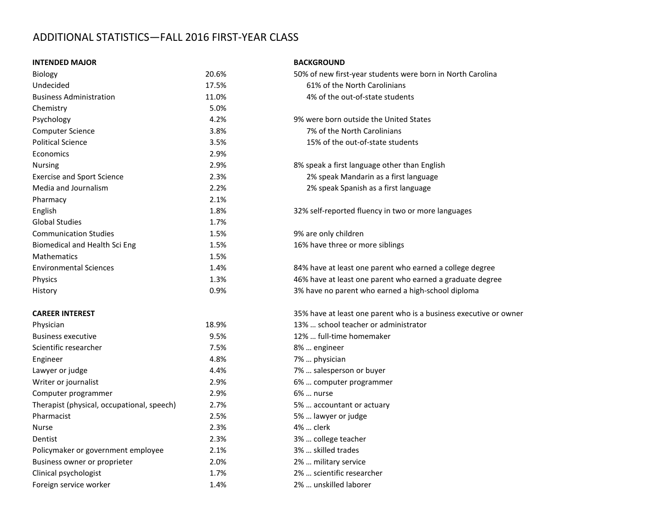# ADDITIONAL STATISTICS—FALL 2016 FIRST-YEAR CLASS

#### **INTENDED MAJOR BACKGROUND**

| Biology                                    | 20.6% | 50% of new first-year students were born in  |
|--------------------------------------------|-------|----------------------------------------------|
| Undecided                                  | 17.5% | 61% of the North Carolinians                 |
| <b>Business Administration</b>             | 11.0% | 4% of the out-of-state students              |
| Chemistry                                  | 5.0%  |                                              |
| Psychology                                 | 4.2%  | 9% were born outside the United States       |
| Computer Science                           | 3.8%  | 7% of the North Carolinians                  |
| <b>Political Science</b>                   | 3.5%  | 15% of the out-of-state students             |
| Economics                                  | 2.9%  |                                              |
| <b>Nursing</b>                             | 2.9%  | 8% speak a first language other than English |
| <b>Exercise and Sport Science</b>          | 2.3%  | 2% speak Mandarin as a first language        |
| Media and Journalism                       | 2.2%  | 2% speak Spanish as a first language         |
| Pharmacy                                   | 2.1%  |                                              |
| English                                    | 1.8%  | 32% self-reported fluency in two or more la  |
| <b>Global Studies</b>                      | 1.7%  |                                              |
| <b>Communication Studies</b>               | 1.5%  | 9% are only children                         |
| Biomedical and Health Sci Eng              | 1.5%  | 16% have three or more siblings              |
| <b>Mathematics</b>                         | 1.5%  |                                              |
| <b>Environmental Sciences</b>              | 1.4%  | 84% have at least one parent who earned a    |
| Physics                                    | 1.3%  | 46% have at least one parent who earned a    |
| History                                    | 0.9%  | 3% have no parent who earned a high-schor    |
| <b>CAREER INTEREST</b>                     |       | 35% have at least one parent who is a busin  |
| Physician                                  | 18.9% | 13%  school teacher or administrator         |
| <b>Business executive</b>                  | 9.5%  | 12%  full-time homemaker                     |
| Scientific researcher                      | 7.5%  | 8%  engineer                                 |
| Engineer                                   | 4.8%  | 7%  physician                                |
| Lawyer or judge                            | 4.4%  | 7%  salesperson or buyer                     |
| Writer or journalist                       | 2.9%  | 6%  computer programmer                      |
| Computer programmer                        | 2.9%  | 6%  nurse                                    |
| Therapist (physical, occupational, speech) | 2.7%  | 5%  accountant or actuary                    |
| Pharmacist                                 | 2.5%  | 5%  lawyer or judge                          |
| <b>Nurse</b>                               | 2.3%  | 4%  clerk                                    |
| Dentist                                    | 2.3%  | 3%  college teacher                          |
| Policymaker or government employee         | 2.1%  | 3%  skilled trades                           |
| Business owner or proprieter               | 2.0%  | 2%  military service                         |
| Clinical psychologist                      | 1.7%  | 2%  scientific researcher                    |
| Foreign service worker                     | 1.4%  | 2%  unskilled laborer                        |

| Biology                                    | 20.6% | 50% of new first-year students were born in North Carolina        |
|--------------------------------------------|-------|-------------------------------------------------------------------|
| Undecided                                  | 17.5% | 61% of the North Carolinians                                      |
| <b>Business Administration</b>             | 11.0% | 4% of the out-of-state students                                   |
| Chemistry                                  | 5.0%  |                                                                   |
| Psychology                                 | 4.2%  | 9% were born outside the United States                            |
| Computer Science                           | 3.8%  | 7% of the North Carolinians                                       |
| <b>Political Science</b>                   | 3.5%  | 15% of the out-of-state students                                  |
| <b>Economics</b>                           | 2.9%  |                                                                   |
| Nursing                                    | 2.9%  | 8% speak a first language other than English                      |
| <b>Exercise and Sport Science</b>          | 2.3%  | 2% speak Mandarin as a first language                             |
| Media and Journalism                       | 2.2%  | 2% speak Spanish as a first language                              |
| Pharmacy                                   | 2.1%  |                                                                   |
| English                                    | 1.8%  | 32% self-reported fluency in two or more languages                |
| <b>Global Studies</b>                      | 1.7%  |                                                                   |
| <b>Communication Studies</b>               | 1.5%  | 9% are only children                                              |
| Biomedical and Health Sci Eng              | 1.5%  | 16% have three or more siblings                                   |
| Mathematics                                | 1.5%  |                                                                   |
| <b>Environmental Sciences</b>              | 1.4%  | 84% have at least one parent who earned a college degree          |
| Physics                                    | 1.3%  | 46% have at least one parent who earned a graduate degree         |
| History                                    | 0.9%  | 3% have no parent who earned a high-school diploma                |
| <b>CAREER INTEREST</b>                     |       | 35% have at least one parent who is a business executive or owner |
| Physician                                  | 18.9% | 13%  school teacher or administrator                              |
| <b>Business executive</b>                  | 9.5%  | 12%  full-time homemaker                                          |
| Scientific researcher                      | 7.5%  | 8%  engineer                                                      |
| Engineer                                   | 4.8%  | 7%  physician                                                     |
| Lawyer or judge                            | 4.4%  | 7%  salesperson or buyer                                          |
| Writer or journalist                       | 2.9%  | 6%  computer programmer                                           |
| Computer programmer                        | 2.9%  | 6%  nurse                                                         |
| Therapist (physical, occupational, speech) | 2.7%  | 5%  accountant or actuary                                         |
| Pharmacist                                 | 2.5%  | 5%  lawyer or judge                                               |
| Nurse                                      | 2.3%  | 4%  clerk                                                         |
| Dentist                                    | 2.3%  | 3%  college teacher                                               |
| Policymaker or government employee         | 2.1%  | 3%  skilled trades                                                |
| Business owner or proprieter               | 2.0%  | 2%  military service                                              |
| Clinical psychologist                      | 1.7%  | 2%  scientific researcher                                         |
| Foreign service worker                     | 1.4%  | 2%  unskilled laborer                                             |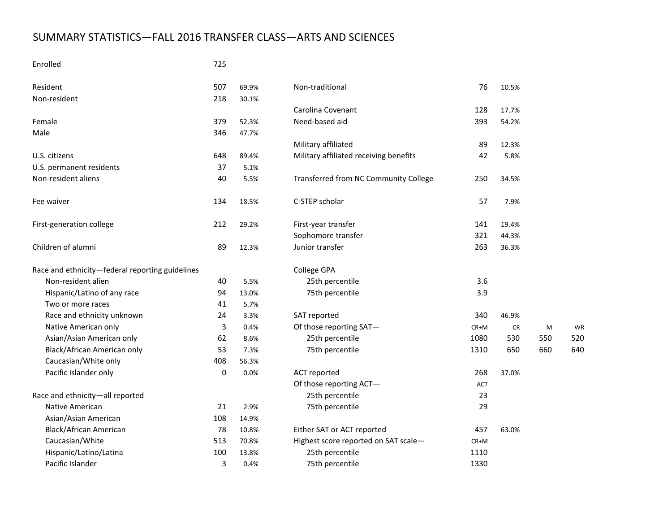# SUMMARY STATISTICS—FALL 2016 TRANSFER CLASS—ARTS AND SCIENCES

## Enrolled 725

| Resident                                        | 507 | 69.9% | Non-traditional                        | 76   | 10.5% |     |     |
|-------------------------------------------------|-----|-------|----------------------------------------|------|-------|-----|-----|
| Non-resident                                    | 218 | 30.1% |                                        |      |       |     |     |
|                                                 |     |       | Carolina Covenant                      | 128  | 17.7% |     |     |
| Female                                          | 379 | 52.3% | Need-based aid                         | 393  | 54.2% |     |     |
| Male                                            | 346 | 47.7% |                                        |      |       |     |     |
|                                                 |     |       | Military affiliated                    | 89   | 12.3% |     |     |
| U.S. citizens                                   | 648 | 89.4% | Military affiliated receiving benefits | 42   | 5.8%  |     |     |
| U.S. permanent residents                        | 37  | 5.1%  |                                        |      |       |     |     |
| Non-resident aliens                             | 40  | 5.5%  | Transferred from NC Community College  | 250  | 34.5% |     |     |
| Fee waiver                                      | 134 | 18.5% | C-STEP scholar                         | 57   | 7.9%  |     |     |
| First-generation college                        | 212 | 29.2% | First-year transfer                    | 141  | 19.4% |     |     |
|                                                 |     |       | Sophomore transfer                     | 321  | 44.3% |     |     |
| Children of alumni                              | 89  | 12.3% | Junior transfer                        | 263  | 36.3% |     |     |
| Race and ethnicity-federal reporting guidelines |     |       | College GPA                            |      |       |     |     |
| Non-resident alien                              | 40  | 5.5%  | 25th percentile                        | 3.6  |       |     |     |
| Hispanic/Latino of any race                     | 94  | 13.0% | 75th percentile                        | 3.9  |       |     |     |
| Two or more races                               | 41  | 5.7%  |                                        |      |       |     |     |
| Race and ethnicity unknown                      | 24  | 3.3%  | SAT reported                           | 340  | 46.9% |     |     |
| Native American only                            | 3   | 0.4%  | Of those reporting SAT-                | CR+M | CR    | M   | WF  |
| Asian/Asian American only                       | 62  | 8.6%  | 25th percentile                        | 1080 | 530   | 550 | 520 |
| Black/African American only                     | 53  | 7.3%  | 75th percentile                        | 1310 | 650   | 660 | 640 |
| Caucasian/White only                            | 408 | 56.3% |                                        |      |       |     |     |
| Pacific Islander only                           | 0   | 0.0%  | <b>ACT reported</b>                    | 268  | 37.0% |     |     |
|                                                 |     |       | Of those reporting ACT-                | ACT  |       |     |     |
| Race and ethnicity-all reported                 |     |       | 25th percentile                        | 23   |       |     |     |
| Native American                                 | 21  | 2.9%  | 75th percentile                        | 29   |       |     |     |
| Asian/Asian American                            | 108 | 14.9% |                                        |      |       |     |     |
| Black/African American                          | 78  | 10.8% | Either SAT or ACT reported             | 457  | 63.0% |     |     |
| Caucasian/White                                 | 513 | 70.8% | Highest score reported on SAT scale-   | CR+M |       |     |     |
| Hispanic/Latino/Latina                          | 100 | 13.8% | 25th percentile                        | 1110 |       |     |     |
| Pacific Islander                                | 3   | 0.4%  | 75th percentile                        | 1330 |       |     |     |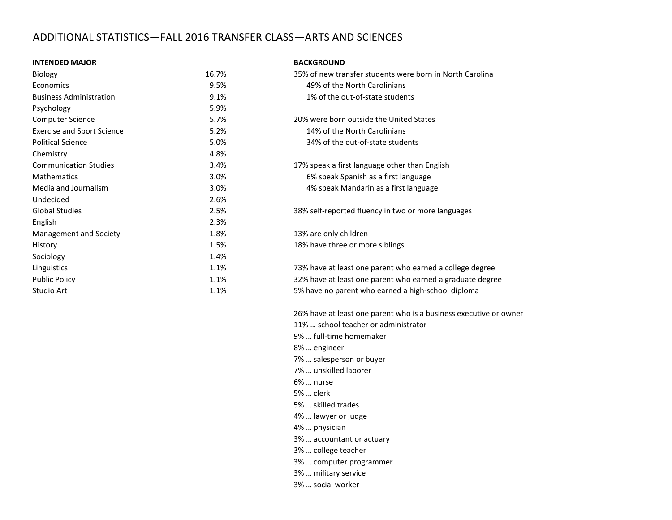# ADDITIONAL STATISTICS—FALL 2016 TRANSFER CLASS—ARTS AND SCIENCES

#### **INTENDED MAJOR BACKGROUND**

| Biology                           | 16.7% | 35% of new transfer students were born in North Card |
|-----------------------------------|-------|------------------------------------------------------|
| Economics                         | 9.5%  | 49% of the North Carolinians                         |
| <b>Business Administration</b>    | 9.1%  | 1% of the out-of-state students                      |
| Psychology                        | 5.9%  |                                                      |
| <b>Computer Science</b>           | 5.7%  | 20% were born outside the United States              |
| <b>Exercise and Sport Science</b> | 5.2%  | 14% of the North Carolinians                         |
| <b>Political Science</b>          | 5.0%  | 34% of the out-of-state students                     |
| Chemistry                         | 4.8%  |                                                      |
| <b>Communication Studies</b>      | 3.4%  | 17% speak a first language other than English        |
| <b>Mathematics</b>                | 3.0%  | 6% speak Spanish as a first language                 |
| Media and Journalism              | 3.0%  | 4% speak Mandarin as a first language                |
| Undecided                         | 2.6%  |                                                      |
| <b>Global Studies</b>             | 2.5%  | 38% self-reported fluency in two or more languages   |
| English                           | 2.3%  |                                                      |
| Management and Society            | 1.8%  | 13% are only children                                |
| History                           | 1.5%  | 18% have three or more siblings                      |
| Sociology                         | 1.4%  |                                                      |
| Linguistics                       | 1.1%  | 73% have at least one parent who earned a college de |
| <b>Public Policy</b>              | 1.1%  | 32% have at least one parent who earned a graduate   |
| Studio Art                        | 1.1%  | 5% have no parent who earned a high-school diploma   |
|                                   |       |                                                      |

| Biology                           | 16.7% | 35% of new transfer students were born in North Carolina  |
|-----------------------------------|-------|-----------------------------------------------------------|
| <b>Economics</b>                  | 9.5%  | 49% of the North Carolinians                              |
| <b>Business Administration</b>    | 9.1%  | 1% of the out-of-state students                           |
| Psychology                        | 5.9%  |                                                           |
| Computer Science                  | 5.7%  | 20% were born outside the United States                   |
| <b>Exercise and Sport Science</b> | 5.2%  | 14% of the North Carolinians                              |
| <b>Political Science</b>          | 5.0%  | 34% of the out-of-state students                          |
| Chemistry                         | 4.8%  |                                                           |
| <b>Communication Studies</b>      | 3.4%  | 17% speak a first language other than English             |
| <b>Mathematics</b>                | 3.0%  | 6% speak Spanish as a first language                      |
| Media and Journalism              | 3.0%  | 4% speak Mandarin as a first language                     |
| Undecided                         | 2.6%  |                                                           |
| Global Studies                    | 2.5%  | 38% self-reported fluency in two or more languages        |
| English                           | 2.3%  |                                                           |
| Management and Society            | 1.8%  | 13% are only children                                     |
| History                           | 1.5%  | 18% have three or more siblings                           |
| Sociology                         | 1.4%  |                                                           |
| Linguistics                       | 1.1%  | 73% have at least one parent who earned a college degree  |
| <b>Public Policy</b>              | 1.1%  | 32% have at least one parent who earned a graduate degree |
| Studio Art                        | 1.1%  | 5% have no parent who earned a high-school diploma        |

26% have at least one parent who is a business executive or owner

11% … school teacher or administrator

- 9% … full-time homemaker
- 8% … engineer
- 7% … salesperson or buyer
- 7% … unskilled laborer
- 6% … nurse
- 5% … clerk
- 5% … skilled trades
- 4% … lawyer or judge
- 4% … physician
- 3% … accountant or actuary
- 3% … college teacher
- 3% … computer programmer
- 3% … military service
- 3% … social worker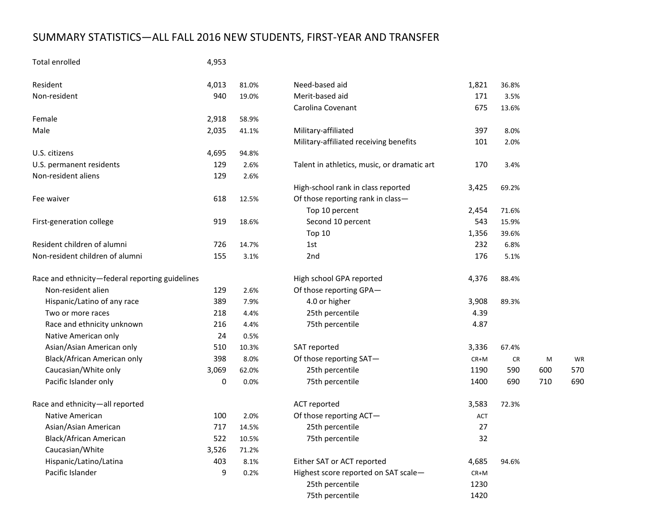# SUMMARY STATISTICS—ALL FALL 2016 NEW STUDENTS, FIRST-YEAR AND TRANSFER

# Total enrolled 4,953

| Resident                                        | 4,013 | 81.0% | Need-based aid                              | 1,821  | 36.8% |     |     |
|-------------------------------------------------|-------|-------|---------------------------------------------|--------|-------|-----|-----|
| Non-resident                                    | 940   | 19.0% | Merit-based aid                             | 171    | 3.5%  |     |     |
|                                                 |       |       | Carolina Covenant                           | 675    | 13.6% |     |     |
| Female                                          | 2,918 | 58.9% |                                             |        |       |     |     |
| Male                                            | 2,035 | 41.1% | Military-affiliated                         | 397    | 8.0%  |     |     |
|                                                 |       |       | Military-affiliated receiving benefits      | 101    | 2.0%  |     |     |
| U.S. citizens                                   | 4,695 | 94.8% |                                             |        |       |     |     |
| U.S. permanent residents                        | 129   | 2.6%  | Talent in athletics, music, or dramatic art | 170    | 3.4%  |     |     |
| Non-resident aliens                             | 129   | 2.6%  |                                             |        |       |     |     |
|                                                 |       |       | High-school rank in class reported          | 3,425  | 69.2% |     |     |
| Fee waiver                                      | 618   | 12.5% | Of those reporting rank in class-           |        |       |     |     |
|                                                 |       |       | Top 10 percent                              | 2,454  | 71.6% |     |     |
| First-generation college                        | 919   | 18.6% | Second 10 percent                           | 543    | 15.9% |     |     |
|                                                 |       |       | Top 10                                      | 1,356  | 39.6% |     |     |
| Resident children of alumni                     | 726   | 14.7% | 1st                                         | 232    | 6.8%  |     |     |
| Non-resident children of alumni                 | 155   | 3.1%  | 2 <sub>nd</sub>                             | 176    | 5.1%  |     |     |
| Race and ethnicity-federal reporting guidelines |       |       | High school GPA reported                    | 4,376  | 88.4% |     |     |
| Non-resident alien                              | 129   | 2.6%  | Of those reporting GPA-                     |        |       |     |     |
| Hispanic/Latino of any race                     | 389   | 7.9%  | 4.0 or higher                               | 3,908  | 89.3% |     |     |
| Two or more races                               | 218   | 4.4%  | 25th percentile                             | 4.39   |       |     |     |
| Race and ethnicity unknown                      | 216   | 4.4%  | 75th percentile                             | 4.87   |       |     |     |
| Native American only                            | 24    | 0.5%  |                                             |        |       |     |     |
| Asian/Asian American only                       | 510   | 10.3% | SAT reported                                | 3,336  | 67.4% |     |     |
| Black/African American only                     | 398   | 8.0%  | Of those reporting SAT-                     | $CR+M$ | CR    | M   | WF  |
| Caucasian/White only                            | 3,069 | 62.0% | 25th percentile                             | 1190   | 590   | 600 | 570 |
| Pacific Islander only                           | 0     | 0.0%  | 75th percentile                             | 1400   | 690   | 710 | 690 |
| Race and ethnicity-all reported                 |       |       | <b>ACT</b> reported                         | 3,583  | 72.3% |     |     |
| <b>Native American</b>                          | 100   | 2.0%  | Of those reporting ACT-                     | ACT    |       |     |     |
| Asian/Asian American                            | 717   | 14.5% | 25th percentile                             | 27     |       |     |     |
| Black/African American                          | 522   | 10.5% | 75th percentile                             | 32     |       |     |     |
| Caucasian/White                                 | 3,526 | 71.2% |                                             |        |       |     |     |
| Hispanic/Latino/Latina                          | 403   | 8.1%  | Either SAT or ACT reported                  | 4,685  | 94.6% |     |     |
| Pacific Islander                                | 9     | 0.2%  | Highest score reported on SAT scale-        | $CR+M$ |       |     |     |
|                                                 |       |       | 25th percentile                             | 1230   |       |     |     |
|                                                 |       |       | 75th percentile                             | 1420   |       |     |     |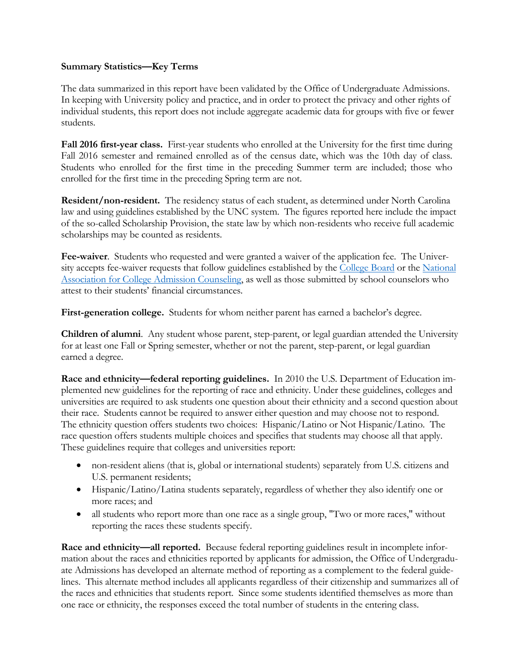# **Summary Statistics—Key Terms**

The data summarized in this report have been validated by the Office of Undergraduate Admissions. In keeping with University policy and practice, and in order to protect the privacy and other rights of individual students, this report does not include aggregate academic data for groups with five or fewer students.

**Fall 2016 first-year class.** First-year students who enrolled at the University for the first time during Fall 2016 semester and remained enrolled as of the census date, which was the 10th day of class. Students who enrolled for the first time in the preceding Summer term are included; those who enrolled for the first time in the preceding Spring term are not.

**Resident/non-resident.** The residency status of each student, as determined under North Carolina law and using guidelines established by the UNC system. The figures reported here include the impact of the so-called Scholarship Provision, the state law by which non-residents who receive full academic scholarships may be counted as residents.

**Fee-waiver**. Students who requested and were granted a waiver of the application fee. The Univer-sity accepts fee-waiver requests that follow guidelines established by the [College Board](https://professionals.collegeboard.com/guidance/applications/fee-waivers) or the National [Association for College Admission Counseling,](http://www.nacacnet.org/studentinfo/feewaiver/Pages/default.aspx) as well as those submitted by school counselors who attest to their students' financial circumstances.

**First-generation college.** Students for whom neither parent has earned a bachelor's degree.

**Children of alumni**. Any student whose parent, step-parent, or legal guardian attended the University for at least one Fall or Spring semester, whether or not the parent, step-parent, or legal guardian earned a degree.

**Race and ethnicity—federal reporting guidelines.** In 2010 the U.S. Department of Education implemented new guidelines for the reporting of race and ethnicity. Under these guidelines, colleges and universities are required to ask students one question about their ethnicity and a second question about their race. Students cannot be required to answer either question and may choose not to respond. The ethnicity question offers students two choices: Hispanic/Latino or Not Hispanic/Latino. The race question offers students multiple choices and specifies that students may choose all that apply. These guidelines require that colleges and universities report:

- non-resident aliens (that is, global or international students) separately from U.S. citizens and U.S. permanent residents;
- Hispanic/Latino/Latina students separately, regardless of whether they also identify one or more races; and
- all students who report more than one race as a single group, "Two or more races," without reporting the races these students specify.

**Race and ethnicity—all reported.** Because federal reporting guidelines result in incomplete information about the races and ethnicities reported by applicants for admission, the Office of Undergraduate Admissions has developed an alternate method of reporting as a complement to the federal guidelines. This alternate method includes all applicants regardless of their citizenship and summarizes all of the races and ethnicities that students report. Since some students identified themselves as more than one race or ethnicity, the responses exceed the total number of students in the entering class.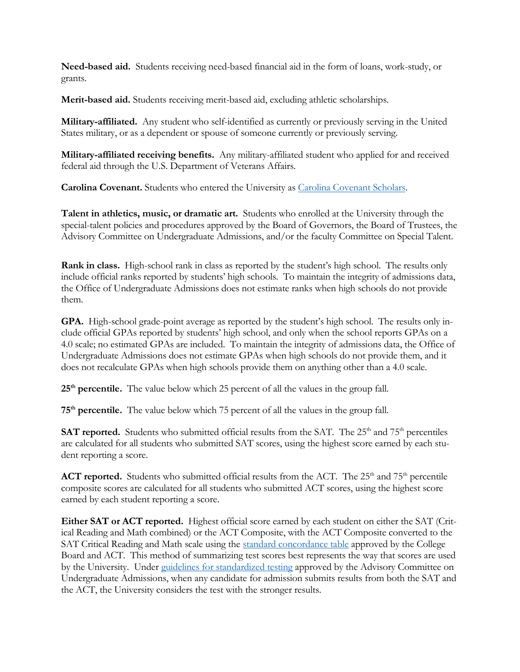**Need-based aid.** Students receiving need-based financial aid in the form of loans, work-study, or grants.

**Merit-based aid.** Students receiving merit-based aid, excluding athletic scholarships.

**Military-affiliated.** Any student who self-identified as currently or previously serving in the United States military, or as a dependent or spouse of someone currently or previously serving.

**Military-affiliated receiving benefits.** Any military-affiliated student who applied for and received federal aid through the U.S. Department of Veterans Affairs.

**Carolina Covenant.** Students who entered the University as [Carolina Covenant Scholars.](http://carolinacovenant.unc.edu/) 

**Talent in athletics, music, or dramatic art.** Students who enrolled at the University through the special-talent policies and procedures approved by the Board of Governors, the Board of Trustees, the Advisory Committee on Undergraduate Admissions, and/or the faculty Committee on Special Talent.

**Rank in class.** High-school rank in class as reported by the student's high school. The results only include official ranks reported by students' high schools. To maintain the integrity of admissions data, the Office of Undergraduate Admissions does not estimate ranks when high schools do not provide them.

**GPA.** High-school grade-point average as reported by the student's high school. The results only include official GPAs reported by students' high school, and only when the school reports GPAs on a 4.0 scale; no estimated GPAs are included. To maintain the integrity of admissions data, the Office of Undergraduate Admissions does not estimate GPAs when high schools do not provide them, and it does not recalculate GPAs when high schools provide them on anything other than a 4.0 scale.

**25th percentile.** The value below which 25 percent of all the values in the group fall.

**75th percentile.** The value below which 75 percent of all the values in the group fall.

**SAT reported.** Students who submitted official results from the SAT. The 25<sup>th</sup> and 75<sup>th</sup> percentiles are calculated for all students who submitted SAT scores, using the highest score earned by each student reporting a score.

**ACT reported.** Students who submitted official results from the ACT. The  $25<sup>th</sup>$  and  $75<sup>th</sup>$  percentile composite scores are calculated for all students who submitted ACT scores, using the highest score earned by each student reporting a score.

**Either SAT or ACT reported.** Highest official score earned by each student on either the SAT (Critical Reading and Math combined) or the ACT Composite, with the ACT Composite converted to the SAT Critical Reading and Math scale using the [standard concordance table](http://research.collegeboard.org/sites/default/files/publications/2012/7/researchnote-2009-40-act-sat-concordance-tables.pdf) approved by the College Board and ACT. This method of summarizing test scores best represents the way that scores are used by the University. Under [guidelines for standardized testing](http://admissions.unc.edu/files/2013/09/Guidelines_for_Standardized_Testing.pdf) approved by the Advisory Committee on Undergraduate Admissions, when any candidate for admission submits results from both the SAT and the ACT, the University considers the test with the stronger results.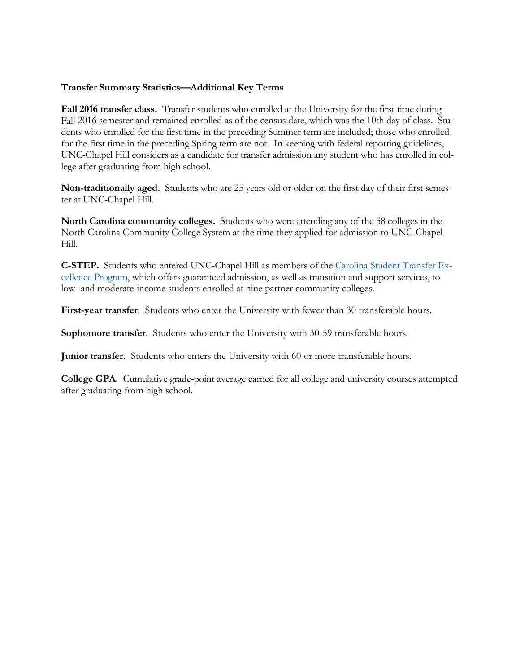# **Transfer Summary Statistics—Additional Key Terms**

**Fall 2016 transfer class.** Transfer students who enrolled at the University for the first time during Fall 2016 semester and remained enrolled as of the census date, which was the 10th day of class. Students who enrolled for the first time in the preceding Summer term are included; those who enrolled for the first time in the preceding Spring term are not. In keeping with federal reporting guidelines, UNC-Chapel Hill considers as a candidate for transfer admission any student who has enrolled in college after graduating from high school.

**Non-traditionally aged.** Students who are 25 years old or older on the first day of their first semester at UNC-Chapel Hill.

**North Carolina community colleges.** Students who were attending any of the 58 colleges in the North Carolina Community College System at the time they applied for admission to UNC-Chapel Hill.

**C-STEP.** Students who entered UNC-Chapel Hill as members of the [Carolina Student Transfer Ex](http://admissions.unc.edu/apply/transfer-students/carolina-student-transfer-excellence-program-c-step/)[cellence Program,](http://admissions.unc.edu/apply/transfer-students/carolina-student-transfer-excellence-program-c-step/) which offers guaranteed admission, as well as transition and support services, to low- and moderate-income students enrolled at nine partner community colleges.

**First-year transfer**. Students who enter the University with fewer than 30 transferable hours.

**Sophomore transfer**. Students who enter the University with 30-59 transferable hours.

**Junior transfer.** Students who enters the University with 60 or more transferable hours.

**College GPA.** Cumulative grade-point average earned for all college and university courses attempted after graduating from high school.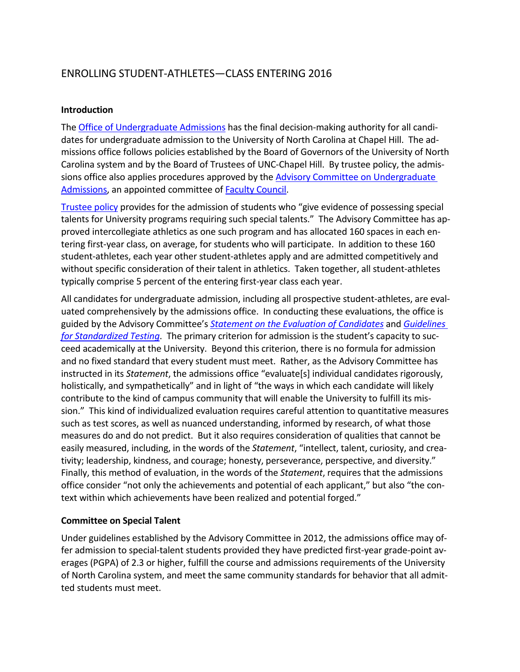# ENROLLING STUDENT-ATHLETES—CLASS ENTERING 2016

# **Introduction**

The [Office of Undergraduate Admissions](http://admissions.unc.edu/) has the final decision-making authority for all candidates for undergraduate admission to the University of North Carolina at Chapel Hill. The admissions office follows policies established by the Board of Governors of the University of North Carolina system and by the Board of Trustees of UNC-Chapel Hill. By trustee policy, the admis-sions office also applies procedures approved by the Advisory Committee on [Undergraduate](http://faccoun.unc.edu/committees-2/appointed-committees/undergraduate-admissions-committee/) [Admissions,](http://faccoun.unc.edu/committees-2/appointed-committees/undergraduate-admissions-committee/) an appointed committee of **Faculty Council**.

[Trustee](http://www.catalog.unc.edu/admissions/undergraduate/#admissionspolicytext) policy provides for the admission of students who "give evidence of possessing special talents for University programs requiring such special talents." The Advisory Committee has approved intercollegiate athletics as one such program and has allocated 160 spaces in each entering first-year class, on average, for students who will participate. In addition to these 160 student-athletes, each year other student-athletes apply and are admitted competitively and without specific consideration of their talent in athletics. Taken together, all student-athletes typically comprise 5 percent of the entering first-year class each year.

All candidates for undergraduate admission, including all prospective student-athletes, are evaluated comprehensively by the admissions office. In conducting these evaluations, the office is guided by the Advisory Committee's *[Statement on the Evaluation of Candidates](http://admissions.unc.edu/files/2013/09/Statement_on_the_Evaluation_of_Candidates.pdf)* and *[Guidelines](http://admissions.unc.edu/files/2013/09/Guidelines_for_Standardized_Testing.pdf)  [for Standardized Testing](http://admissions.unc.edu/files/2013/09/Guidelines_for_Standardized_Testing.pdf)*. The primary criterion for admission is the student's capacity to succeed academically at the University. Beyond this criterion, there is no formula for admission and no fixed standard that every student must meet. Rather, as the Advisory Committee has instructed in its *Statement*, the admissions office "evaluate[s] individual candidates rigorously, holistically, and sympathetically" and in light of "the ways in which each candidate will likely contribute to the kind of campus community that will enable the University to fulfill its mission." This kind of individualized evaluation requires careful attention to quantitative measures such as test scores, as well as nuanced understanding, informed by research, of what those measures do and do not predict. But it also requires consideration of qualities that cannot be easily measured, including, in the words of the *Statement*, "intellect, talent, curiosity, and creativity; leadership, kindness, and courage; honesty, perseverance, perspective, and diversity." Finally, this method of evaluation, in the words of the *Statement*, requires that the admissions office consider "not only the achievements and potential of each applicant," but also "the context within which achievements have been realized and potential forged."

# **Committee on Special Talent**

Under guidelines established by the Advisory Committee in 2012, the admissions office may offer admission to special-talent students provided they have predicted first-year grade-point averages (PGPA) of 2.3 or higher, fulfill the course and admissions requirements of the University of North Carolina system, and meet the same community standards for behavior that all admitted students must meet.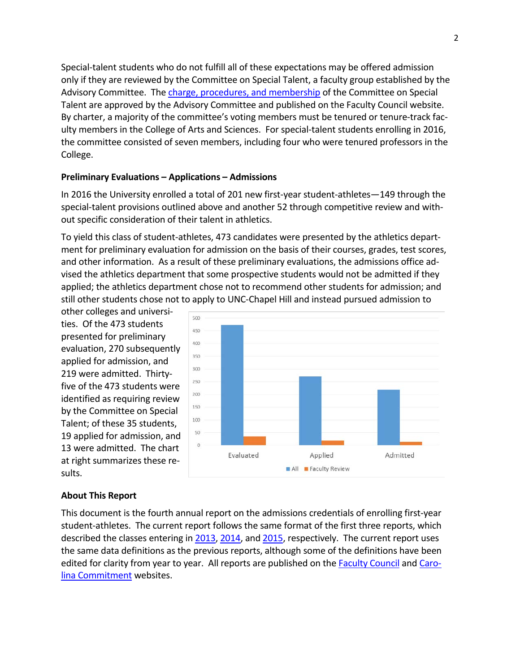Special-talent students who do not fulfill all of these expectations may be offered admission only if they are reviewed by the Committee on Special Talent, a faculty group established by the Advisory Committee. The charge, procedures, and [membership](http://faccoun.unc.edu/committees-2/appointed-committees/undergraduate-admissions-committee/committee-on-special-talent/) of the Committee on Special Talent are approved by the Advisory Committee and published on the Faculty Council website. By charter, a majority of the committee's voting members must be tenured or tenure-track faculty members in the College of Arts and Sciences. For special-talent students enrolling in 2016, the committee consisted of seven members, including four who were tenured professors in the College.

### **Preliminary Evaluations – Applications – Admissions**

In 2016 the University enrolled a total of 201 new first-year student-athletes—149 through the special-talent provisions outlined above and another 52 through competitive review and without specific consideration of their talent in athletics.

To yield this class of student-athletes, 473 candidates were presented by the athletics department for preliminary evaluation for admission on the basis of their courses, grades, test scores, and other information. As a result of these preliminary evaluations, the admissions office advised the athletics department that some prospective students would not be admitted if they applied; the athletics department chose not to recommend other students for admission; and still other students chose not to apply to UNC-Chapel Hill and instead pursued admission to

other colleges and universities. Of the 473 students presented for preliminary evaluation, 270 subsequently applied for admission, and 219 were admitted. Thirtyfive of the 473 students were identified as requiring review by the Committee on Special Talent; of these 35 students, 19 applied for admission, and 13 were admitted. The chart at right summarizes these results.



### **About This Report**

This document is the fourth annual report on the admissions credentials of enrolling first-year student-athletes. The current report follows the same format of the first three reports, which described the classes entering in [2013,](http://facultygov.sites.unc.edu/files/2010/10/UAD2012-2013.pdf) [2014,](http://facultygov.sites.unc.edu/files/2010/10/UAD2013-2014_CORRECTED.pdf) an[d 2015,](http://facultygov.sites.unc.edu/files/2010/10/UAD2014-15.pdf) respectively. The current report uses the same data definitions as the previous reports, although some of the definitions have been edited for clarity from year to year. All reports are published on the **Faculty Council and [Caro](http://carolinacommitment.unc.edu/)**[lina Commitment](http://carolinacommitment.unc.edu/) websites.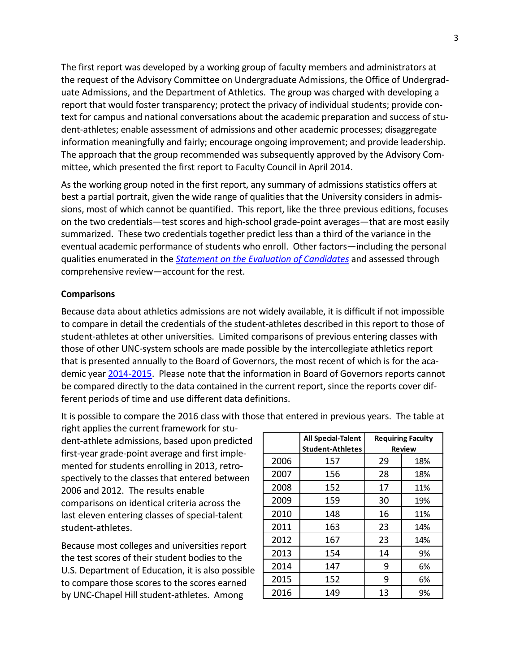The first report was developed by a working group of faculty members and administrators at the request of the Advisory Committee on Undergraduate Admissions, the Office of Undergraduate Admissions, and the Department of Athletics. The group was charged with developing a report that would foster transparency; protect the privacy of individual students; provide context for campus and national conversations about the academic preparation and success of student-athletes; enable assessment of admissions and other academic processes; disaggregate information meaningfully and fairly; encourage ongoing improvement; and provide leadership. The approach that the group recommended was subsequently approved by the Advisory Committee, which presented the first report to Faculty Council in April 2014.

As the working group noted in the first report, any summary of admissions statistics offers at best a partial portrait, given the wide range of qualities that the University considers in admissions, most of which cannot be quantified. This report, like the three previous editions, focuses on the two credentials—test scores and high-school grade-point averages—that are most easily summarized. These two credentials together predict less than a third of the variance in the eventual academic performance of students who enroll. Other factors—including the personal qualities enumerated in the *[Statement on the Evaluation of Candidates](http://admissions.unc.edu/files/2013/09/Statement_on_the_Evaluation_of_Candidates.pdf)* and assessed through comprehensive review—account for the rest.

## **Comparisons**

Because data about athletics admissions are not widely available, it is difficult if not impossible to compare in detail the credentials of the student-athletes described in this report to those of student-athletes at other universities. Limited comparisons of previous entering classes with those of other UNC-system schools are made possible by the intercollegiate athletics report that is presented annually to the Board of Governors, the most recent of which is for the academic year [2014-2015.](http://www.northcarolina.edu/apps/bog/doc.php?id=50200&code=bog) Please note that the information in Board of Governors reports cannot be compared directly to the data contained in the current report, since the reports cover different periods of time and use different data definitions.

It is possible to compare the 2016 class with those that entered in previous years. The table at

right applies the current framework for student-athlete admissions, based upon predicted first-year grade-point average and first implemented for students enrolling in 2013, retrospectively to the classes that entered between 2006 and 2012. The results enable comparisons on identical criteria across the last eleven entering classes of special-talent student-athletes.

Because most colleges and universities report the test scores of their student bodies to the U.S. Department of Education, it is also possible to compare those scores to the scores earned by UNC-Chapel Hill student-athletes. Among

|      | <b>All Special-Talent</b><br><b>Student-Athletes</b> | <b>Requiring Faculty</b><br><b>Review</b> |     |
|------|------------------------------------------------------|-------------------------------------------|-----|
| 2006 | 157                                                  | 29                                        | 18% |
| 2007 | 156                                                  | 28                                        | 18% |
| 2008 | 152                                                  | 17                                        | 11% |
| 2009 | 159                                                  | 30                                        | 19% |
| 2010 | 148                                                  | 16                                        | 11% |
| 2011 | 163                                                  | 23                                        | 14% |
| 2012 | 167                                                  | 23                                        | 14% |
| 2013 | 154                                                  | 14                                        | 9%  |
| 2014 | 147                                                  | 9                                         | 6%  |
| 2015 | 152                                                  | 9                                         | 6%  |
| 2016 | 149                                                  | 13                                        | 9%  |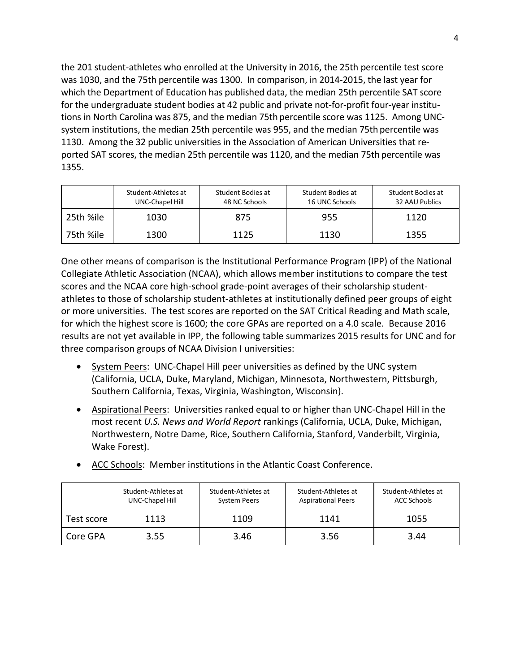the 201 student-athletes who enrolled at the University in 2016, the 25th percentile test score was 1030, and the 75th percentile was 1300. In comparison, in 2014-2015, the last year for which the Department of Education has published data, the median 25th percentile SAT score for the undergraduate student bodies at 42 public and private not-for-profit four-year institutions in North Carolina was 875, and the median 75th percentile score was 1125. Among UNCsystem institutions, the median 25th percentile was 955, and the median 75th percentile was 1130. Among the 32 public universities in the Association of American Universities that reported SAT scores, the median 25th percentile was 1120, and the median 75th percentile was 1355.

|           | Student-Athletes at<br>UNC-Chapel Hill | Student Bodies at<br>48 NC Schools | Student Bodies at<br>16 UNC Schools | Student Bodies at<br>32 AAU Publics |
|-----------|----------------------------------------|------------------------------------|-------------------------------------|-------------------------------------|
| 25th %ile | 1030                                   | 875                                | 955                                 | 1120                                |
| 75th %ile | 1300                                   | 1125                               | 1130                                | 1355                                |

One other means of comparison is the Institutional Performance Program (IPP) of the National Collegiate Athletic Association (NCAA), which allows member institutions to compare the test scores and the NCAA core high-school grade-point averages of their scholarship studentathletes to those of scholarship student-athletes at institutionally defined peer groups of eight or more universities. The test scores are reported on the SAT Critical Reading and Math scale, for which the highest score is 1600; the core GPAs are reported on a 4.0 scale. Because 2016 results are not yet available in IPP, the following table summarizes 2015 results for UNC and for three comparison groups of NCAA Division I universities:

- System Peers: UNC-Chapel Hill peer universities as defined by the UNC system (California, UCLA, Duke, Maryland, Michigan, Minnesota, Northwestern, Pittsburgh, Southern California, Texas, Virginia, Washington, Wisconsin).
- Aspirational Peers: Universities ranked equal to or higher than UNC-Chapel Hill in the most recent *U.S. News and World Report* rankings (California, UCLA, Duke, Michigan, Northwestern, Notre Dame, Rice, Southern California, Stanford, Vanderbilt, Virginia, Wake Forest).

|            | Student-Athletes at<br>UNC-Chapel Hill | Student-Athletes at<br><b>System Peers</b> | Student-Athletes at<br><b>Aspirational Peers</b> | Student-Athletes at<br><b>ACC Schools</b> |
|------------|----------------------------------------|--------------------------------------------|--------------------------------------------------|-------------------------------------------|
| Test score | 1113                                   | 1109                                       | 1141                                             | 1055                                      |
| Core GPA   | 3.55                                   | 3.46                                       | 3.56                                             | 3.44                                      |

• ACC Schools: Member institutions in the Atlantic Coast Conference.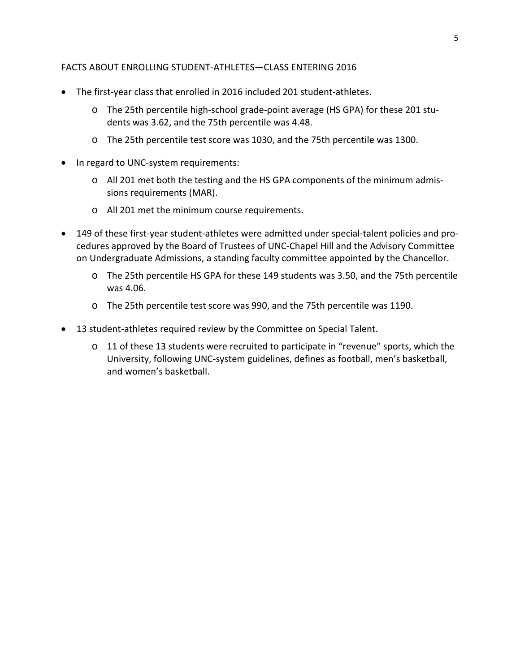# FACTS ABOUT ENROLLING STUDENT-ATHLETES—CLASS ENTERING 2016

- The first-year class that enrolled in 2016 included 201 student-athletes.
	- o The 25th percentile high-school grade-point average (HS GPA) for these 201 students was 3.62, and the 75th percentile was 4.48.
	- o The 25th percentile test score was 1030, and the 75th percentile was 1300.
- In regard to UNC-system requirements:
	- o All 201 met both the testing and the HS GPA components of the minimum admissions requirements (MAR).
	- o All 201 met the minimum course requirements.
- 149 of these first-year student-athletes were admitted under special-talent policies and procedures approved by the Board of Trustees of UNC-Chapel Hill and the Advisory Committee on Undergraduate Admissions, a standing faculty committee appointed by the Chancellor.
	- o The 25th percentile HS GPA for these 149 students was 3.50, and the 75th percentile was 4.06.
	- o The 25th percentile test score was 990, and the 75th percentile was 1190.
- 13 student-athletes required review by the Committee on Special Talent.
	- $\circ$  11 of these 13 students were recruited to participate in "revenue" sports, which the University, following UNC-system guidelines, defines as football, men's basketball, and women's basketball.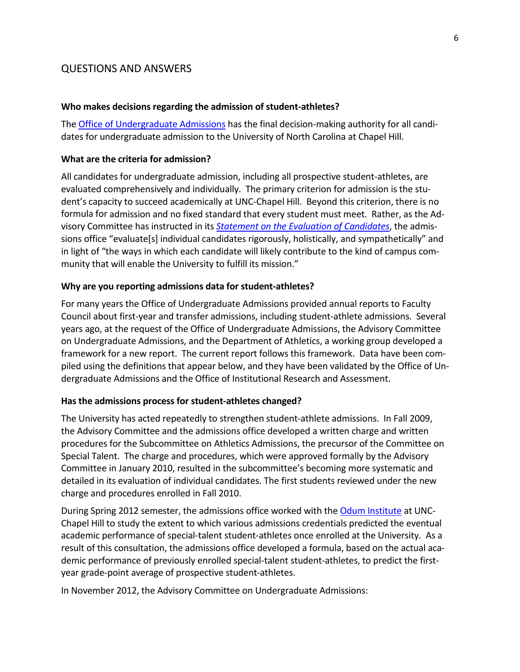# QUESTIONS AND ANSWERS

#### **Who makes decisions regarding the admission of student-athletes?**

The Office of [Undergraduate](http://admissions.unc.edu/) Admissions has the final decision-making authority for all candidates for undergraduate admission to the University of North Carolina at Chapel Hill.

#### **What are the criteria for admission?**

All candidates for undergraduate admission, including all prospective student-athletes, are evaluated comprehensively and individually. The primary criterion for admission is the student's capacity to succeed academically at UNC-Chapel Hill. Beyond this criterion, there is no formula for admission and no fixed standard that every student must meet. Rather, as the Advisory Committee has instructed in its *Statement on the Evaluation of [Candidates](http://admissions.unc.edu/files/2013/09/Statement_on_the_Evaluation_of_Candidates.pdf)*, the admissions office "evaluate[s] individual candidates rigorously, holistically, and sympathetically" and in light of "the ways in which each candidate will likely contribute to the kind of campus community that will enable the University to fulfill its mission."

#### **Why are you reporting admissions data for student-athletes?**

For many years the Office of Undergraduate Admissions provided annual reports to Faculty Council about first-year and transfer admissions, including student-athlete admissions. Several years ago, at the request of the Office of Undergraduate Admissions, the Advisory Committee on Undergraduate Admissions, and the Department of Athletics, a working group developed a framework for a new report. The current report follows this framework. Data have been compiled using the definitions that appear below, and they have been validated by the Office of Undergraduate Admissions and the Office of Institutional Research and Assessment.

#### **Has the admissions process for student-athletes changed?**

The University has acted repeatedly to strengthen student-athlete admissions. In Fall 2009, the Advisory Committee and the admissions office developed a written charge and written procedures for the Subcommittee on Athletics Admissions, the precursor of the Committee on Special Talent. The charge and procedures, which were approved formally by the Advisory Committee in January 2010, resulted in the subcommittee's becoming more systematic and detailed in its evaluation of individual candidates. The first students reviewed under the new charge and procedures enrolled in Fall 2010.

During Spring 2012 semester, the admissions office worked with th[e Odum Institute](http://www.odum.unc.edu/odum/home2.jsp) at UNC-Chapel Hill to study the extent to which various admissions credentials predicted the eventual academic performance of special-talent student-athletes once enrolled at the University. As a result of this consultation, the admissions office developed a formula, based on the actual academic performance of previously enrolled special-talent student-athletes, to predict the firstyear grade-point average of prospective student-athletes.

In November 2012, the Advisory Committee on Undergraduate Admissions: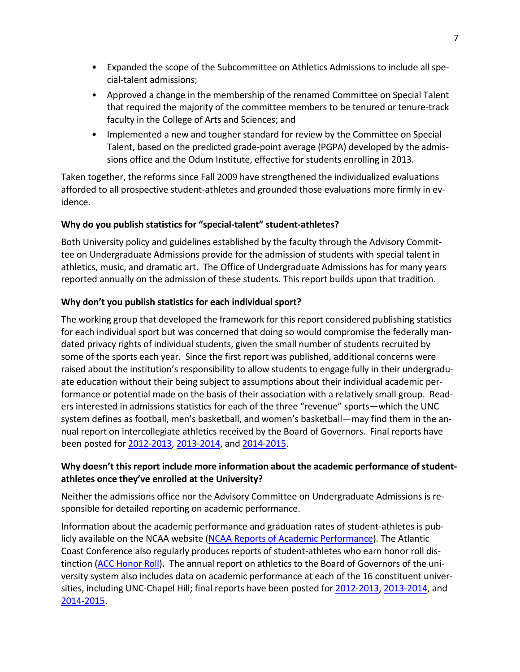- Expanded the scope of the Subcommittee on Athletics Admissions to include all special-talent admissions;
- Approved a change in the membership of the renamed Committee on Special Talent that required the majority of the committee members to be tenured or tenure-track faculty in the College of Arts and Sciences; and
- Implemented a new and tougher standard for review by the Committee on Special Talent, based on the predicted grade-point average (PGPA) developed by the admissions office and the Odum Institute, effective for students enrolling in 2013.

Taken together, the reforms since Fall 2009 have strengthened the individualized evaluations afforded to all prospective student-athletes and grounded those evaluations more firmly in evidence.

# **Why do you publish statistics for "special-talent" student-athletes?**

Both University policy and guidelines established by the faculty through the Advisory Committee on Undergraduate Admissions provide for the admission of students with special talent in athletics, music, and dramatic art. The Office of Undergraduate Admissions has for many years reported annually on the admission of these students. This report builds upon that tradition.

# **Why don't you publish statistics for each individual sport?**

The working group that developed the framework for this report considered publishing statistics for each individual sport but was concerned that doing so would compromise the federally mandated privacy rights of individual students, given the small number of students recruited by some of the sports each year. Since the first report was published, additional concerns were raised about the institution's responsibility to allow students to engage fully in their undergraduate education without their being subject to assumptions about their individual academic performance or potential made on the basis of their association with a relatively small group. Readers interested in admissions statistics for each of the three "revenue" sports—which the UNC system defines as football, men's basketball, and women's basketball—may find them in the annual report on intercollegiate athletics received by the Board of Governors. Final reports have been posted for [2012-2013,](http://www.northcarolina.edu/sites/default/files/item_9_unc_intercollegiate_athletics_report_1012-2013.pdf) [2013-2014,](http://www.northcarolina.edu/apps/bog/doc.php?id=45490&code=bog) an[d 2014-2015.](http://www.northcarolina.edu/apps/bog/doc.php?id=50200&code=bog)

# **Why doesn't this report include more information about the academic performance of studentathletes once they've enrolled at the University?**

Neither the admissions office nor the Advisory Committee on Undergraduate Admissions is responsible for detailed reporting on academic performance.

Information about the academic performance and graduation rates of student-athletes is publicly available on the NCAA website (NCAA Reports of Academic [Performance\)](http://fs.ncaa.org/Docs/newmedia/public/rates/index.html). The Atlantic Coast Conference also regularly produces reports of student-athletes who earn honor roll distinction (ACC [Honor](http://www.theacc.com/news/acc-announces-honor-roll-for-2015-2016-academic-year-07-07-2016) Roll). The annual report on athletics to the Board of Governors of the university system also includes data on academic performance at each of the 16 constituent universities, including UNC-Chapel Hill; final reports have been posted for [2012-2013,](http://www.northcarolina.edu/sites/default/files/item_9_unc_intercollegiate_athletics_report_1012-2013.pdf) [2013-2014,](http://www.northcarolina.edu/apps/bog/doc.php?id=45490&code=bog) and [2014-2015.](http://www.northcarolina.edu/apps/bog/doc.php?id=50200&code=bog)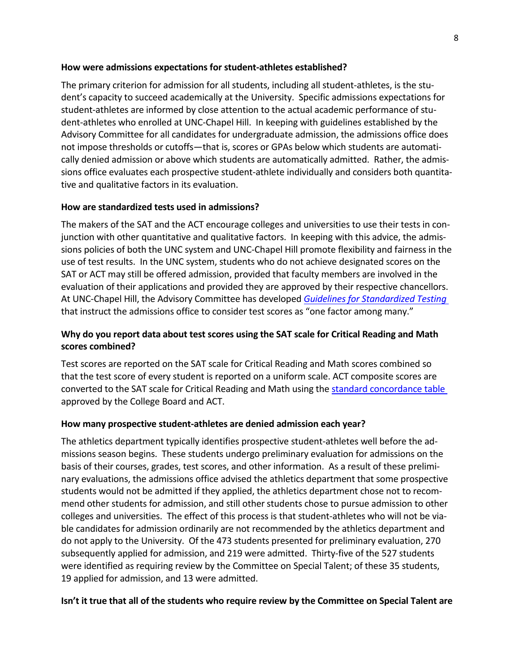## **How were admissions expectations for student-athletes established?**

The primary criterion for admission for all students, including all student-athletes, is the student's capacity to succeed academically at the University. Specific admissions expectations for student-athletes are informed by close attention to the actual academic performance of student-athletes who enrolled at UNC-Chapel Hill. In keeping with guidelines established by the Advisory Committee for all candidates for undergraduate admission, the admissions office does not impose thresholds or cutoffs—that is, scores or GPAs below which students are automatically denied admission or above which students are automatically admitted. Rather, the admissions office evaluates each prospective student-athlete individually and considers both quantitative and qualitative factors in its evaluation.

# **How are standardized tests used in admissions?**

The makers of the SAT and the ACT encourage colleges and universities to use their tests in conjunction with other quantitative and qualitative factors. In keeping with this advice, the admissions policies of both the UNC system and UNC-Chapel Hill promote flexibility and fairness in the use of test results. In the UNC system, students who do not achieve designated scores on the SAT or ACT may still be offered admission, provided that faculty members are involved in the evaluation of their applications and provided they are approved by their respective chancellors. At UNC-Chapel Hill, the Advisory Committee has developed *Guidelines for [Standardized](http://admissions.unc.edu/files/2013/09/Guidelines_for_Standardized_Testing.pdf) Testing* that instruct the admissions office to consider test scores as "one factor among many."

# **Why do you report data about test scores using the SAT scale for Critical Reading and Math scores combined?**

Test scores are reported on the SAT scale for Critical Reading and Math scores combined so that the test score of every student is reported on a uniform scale. ACT composite scores are converted to the SAT scale for Critical Reading and Math using the standard [concordance](http://research.collegeboard.org/sites/default/files/publications/2012/7/researchnote-2009-40-act-sat-concordance-tables.pdf) table approved by the College Board and ACT.

# **How many prospective student-athletes are denied admission each year?**

The athletics department typically identifies prospective student-athletes well before the admissions season begins. These students undergo preliminary evaluation for admissions on the basis of their courses, grades, test scores, and other information. As a result of these preliminary evaluations, the admissions office advised the athletics department that some prospective students would not be admitted if they applied, the athletics department chose not to recommend other students for admission, and still other students chose to pursue admission to other colleges and universities. The effect of this process is that student-athletes who will not be viable candidates for admission ordinarily are not recommended by the athletics department and do not apply to the University. Of the 473 students presented for preliminary evaluation, 270 subsequently applied for admission, and 219 were admitted. Thirty-five of the 527 students were identified as requiring review by the Committee on Special Talent; of these 35 students, 19 applied for admission, and 13 were admitted.

# **Isn't it true that all of the students who require review by the Committee on Special Talent are**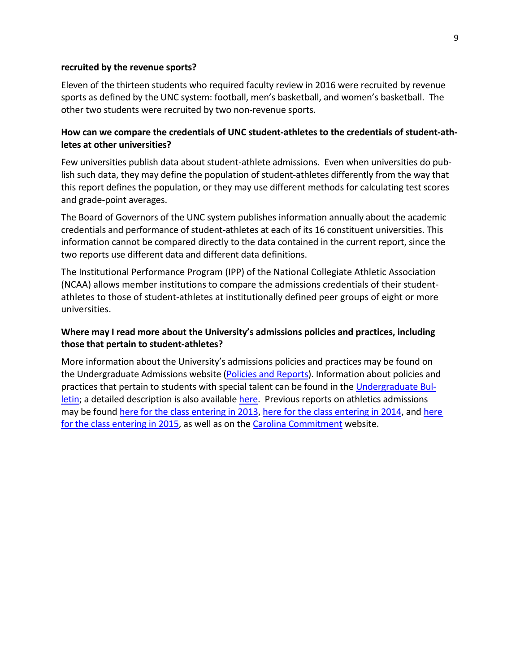#### **recruited by the revenue sports?**

Eleven of the thirteen students who required faculty review in 2016 were recruited by revenue sports as defined by the UNC system: football, men's basketball, and women's basketball. The other two students were recruited by two non-revenue sports.

# **How can we compare the credentials of UNC student-athletes to the credentials of student-athletes at other universities?**

Few universities publish data about student-athlete admissions. Even when universities do publish such data, they may define the population of student-athletes differently from the way that this report defines the population, or they may use different methods for calculating test scores and grade-point averages.

The Board of Governors of the UNC system publishes information annually about the academic credentials and performance of student-athletes at each of its 16 constituent universities. This information cannot be compared directly to the data contained in the current report, since the two reports use different data and different data definitions.

The Institutional Performance Program (IPP) of the National Collegiate Athletic Association (NCAA) allows member institutions to compare the admissions credentials of their studentathletes to those of student-athletes at institutionally defined peer groups of eight or more universities.

# **Where may I read more about the University's admissions policies and practices, including those that pertain to student-athletes?**

More information about the University's admissions policies and practices may be found on the Undergraduate Admissions website (Policies and [Reports\)](http://admissions.unc.edu/policies-and-reports/). Information about policies and practices that pertain to students with special talent can be found in the [Undergraduate](http://www.unc.edu/ugradbulletin/admissions.html) Bul[letin;](http://www.unc.edu/ugradbulletin/admissions.html) a detailed description is also availabl[e here.](http://www.unc.edu/sacs/Jan2015/Reports/3.4.3-Admission.html) Previous reports on athletics admissions may be found [here for the class entering in 2013,](http://faccoun.unc.edu/wp-content/uploads/2010/10/UAD2012-2013.pdf) [here for the class entering in 2014,](http://faccoun.unc.edu/wp-content/uploads/2010/10/UAD2013-2014_CORRECTED.pdf) and here [for the class entering in 2015,](http://facultygov.sites.unc.edu/files/2010/10/UAD2014-15.pdf) as well as on th[e Carolina Commitment](http://carolinacommitment.unc.edu/) website.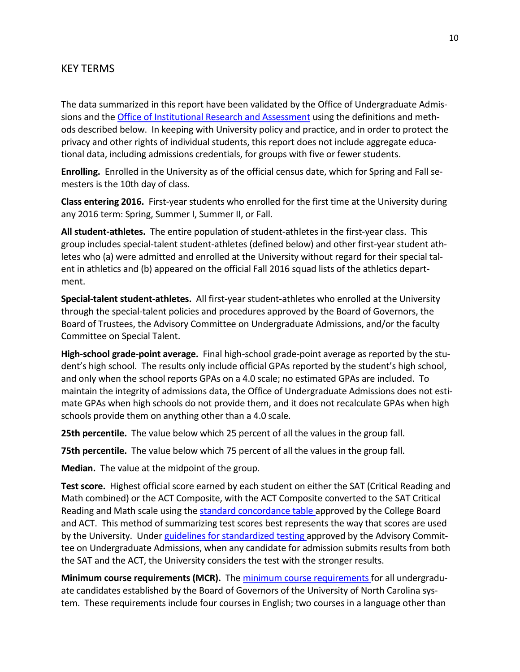# KEY TERMS

The data summarized in this report have been validated by the Office of Undergraduate Admissions and the Office of [Institutional](https://oira.unc.edu/) Research and Assessment using the definitions and methods described below. In keeping with University policy and practice, and in order to protect the privacy and other rights of individual students, this report does not include aggregate educational data, including admissions credentials, for groups with five or fewer students.

**Enrolling.** Enrolled in the University as of the official census date, which for Spring and Fall semesters is the 10th day of class.

**Class entering 2016.** First-year students who enrolled for the first time at the University during any 2016 term: Spring, Summer I, Summer II, or Fall.

**All student-athletes.** The entire population of student-athletes in the first-year class. This group includes special-talent student-athletes (defined below) and other first-year student athletes who (a) were admitted and enrolled at the University without regard for their special talent in athletics and (b) appeared on the official Fall 2016 squad lists of the athletics department.

**Special-talent student-athletes.** All first-year student-athletes who enrolled at the University through the special-talent policies and procedures approved by the Board of Governors, the Board of Trustees, the Advisory Committee on Undergraduate Admissions, and/or the faculty Committee on Special Talent.

**High-school grade-point average.** Final high-school grade-point average as reported by the student's high school. The results only include official GPAs reported by the student's high school, and only when the school reports GPAs on a 4.0 scale; no estimated GPAs are included. To maintain the integrity of admissions data, the Office of Undergraduate Admissions does not estimate GPAs when high schools do not provide them, and it does not recalculate GPAs when high schools provide them on anything other than a 4.0 scale.

**25th percentile.** The value below which 25 percent of all the values in the group fall.

**75th percentile.** The value below which 75 percent of all the values in the group fall.

**Median.** The value at the midpoint of the group.

**Test score.** Highest official score earned by each student on either the SAT (Critical Reading and Math combined) or the ACT Composite, with the ACT Composite converted to the SAT Critical Reading and Math scale using the standard [concordance](http://research.collegeboard.org/sites/default/files/publications/2012/7/researchnote-2009-40-act-sat-concordance-tables.pdf) table approved by the College Board and ACT. This method of summarizing test scores best represents the way that scores are used by the University. Under guidelines for [standardized](http://admissions.unc.edu/files/2013/09/Guidelines_for_Standardized_Testing.pdf) testing approved by the Advisory Committee on Undergraduate Admissions, when any candidate for admission submits results from both the SAT and the ACT, the University considers the test with the stronger results.

**Minimum course requirements (MCR).** The minimum course [requirements](http://www.northcarolina.edu/aa/admissions/requirements.htm) for all undergraduate candidates established by the Board of Governors of the University of North Carolina system. These requirements include four courses in English; two courses in a language other than